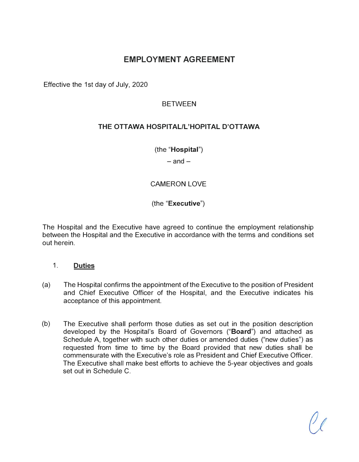## **EMPLOYMENT AGREEMENT**

Effective the 1st day of July, 2020

### **BETWEEN**

## **THE OTTAWA HOSPITAL/L'HOPITAL D'OTTAWA**

(the **"Hospital")** 

 $-$ and $-$ 

## CAMERON LOVE

(the **"Executive")** 

The Hospital and the Executive have agreed to continue the employment relationship between the Hospital and the Executive in accordance with the terms and conditions set out herein.

#### 1. **Duties**

- (a) The Hospital confirms the appointment of the Executive to the position of President and Chief Executive Officer of the Hospital, and the Executive indicates his acceptance of this appointment.
- (b) The Executive shall perform those duties as set out in the position description developed by the Hospital's Board of Governors **("Board")** and attached as Schedule A, together with such other duties or amended duties ("new duties") as requested from time to time by the Board provided that new duties shall be commensurate with the Executive's role as President and Chief Executive Officer. The Executive shall make best efforts to achieve the 5-year objectives and goals set out in Schedule C.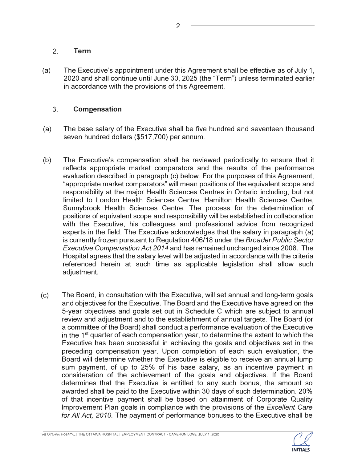### **2. Term**

(a) The Executive's appointment under this Agreement shall be effective as of July 1, 2020 and shall continue until June 30, 2025 (the 'Term") unless terminated earlier in accordance with the provisions of this Agreement.

## 3. **Compensation**

- (a) The base salary of the Executive shall be five hundred and seventeen thousand seven hundred dollars (\$517,700) per annum.
- (b) The Executive's compensation shall be reviewed periodically to ensure that it reflects appropriate market comparators and the results of the performance evaluation described in paragraph (c) below. For the purposes of this Agreement, "appropriate market comparators" will mean positions of the equivalent scope and responsibility at the major Health Sciences Centres in Ontario including, but not limited to London Health Sciences Centre, Hamilton Health Sciences Centre, Sunnybrook Health Sciences Centre. The process for the determination of positions of equivalent scope and responsibility will be established in collaboration with the Executive, his colleagues and professional advice from recognized experts in the field. The Executive acknowledges that the salary in paragraph (a) is currently frozen pursuant to Regulation 406/18 under the *Broader Public Sector Executive Compensation Act 2014* and has remained unchanged since 2008. The Hospital agrees that the salary level will be adjusted in accordance with the criteria referenced herein at such time as applicable legislation shall allow such adjustment.
- (c) The Board, in consultation with the Executive, will set annual and long-term goals and objectives for the Executive. The Board and the Executive have agreed on the 5-year objectives and goals set out in Schedule C which are subject to annual review and adjustment and to the establishment of annual targets. The Board (or a committee of the Board) shall conduct a performance evaluation of the Executive in the  $1<sup>st</sup>$  quarter of each compensation year, to determine the extent to which the Executive has been successful in achieving the goals and objectives set in the preceding compensation year. Upon completion of each such evaluation, the Board will determine whether the Executive is eligible to receive an annual lump sum payment, of up to 25% of his base salary, as an incentive payment in consideration of the achievement of the goals and objectives. If the Board determines that the Executive is entitled to any such bonus, the amount so awarded shall be paid to the Executive within 30 days of such determination. 20% of that incentive payment shall be based on attainment of Corporate Quality Improvement Plan goals in compliance with the provisions of the *Excellent Care for All Act, 2010.* The payment of performance bonuses to the Executive shall be

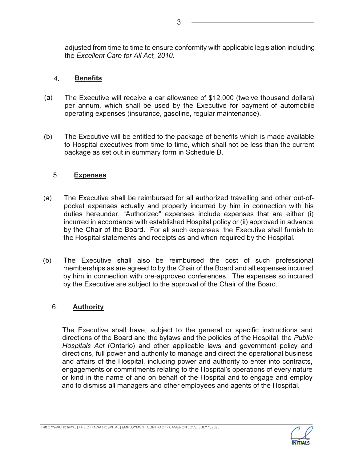adjusted from time to time to ensure conformity with applicable legislation including the *Excellent Care for All Act, 2010.* 

## 4. **Benefits**

- (a) The Executive will receive a car allowance of \$12,000 (twelve thousand dollars) per annum, which shall be used by the Executive for payment of automobile operating expenses (insurance, gasoline, regular maintenance).
- (b) The Executive will be entitled to the package of benefits which is made available to Hospital executives from time to time, which shall not be less than the current package as set out in summary form in Schedule B.

### 5. **Expenses**

- (a) The Executive shall be reimbursed for all authorized travelling and other out-ofpocket expenses actually and properly incurred by him in connection with his duties hereunder. "Authorized" expenses include expenses that are either (i) incurred in accordance with established Hospital policy or (ii) approved in advance by the Chair of the Board. For all such expenses, the Executive shall furnish to the Hospital statements and receipts as and when required by the Hospital.
- (b) The Executive shall also be reimbursed the cost of such professional memberships as are agreed to by the Chair of the Board and all expenses incurred by him in connection with pre-approved conferences. The expenses so incurred by the Executive are subject to the approval of the Chair of the Board.

## 6. **Authority**

The Executive shall have, subject to the general or specific instructions and directions of the Board and the bylaws and the policies of the Hospital, the *Public Hospitals Act* (Ontario) and other applicable laws and government policy and directions, full power and authority to manage and direct the operational business and affairs of the Hospital, including power and authority to enter into contracts, engagements or commitments relating to the Hospital's operations of every nature or kind in the name of and on behalf of the Hospital and to engage and employ and to dismiss all managers and other employees and agents of the Hospital.



3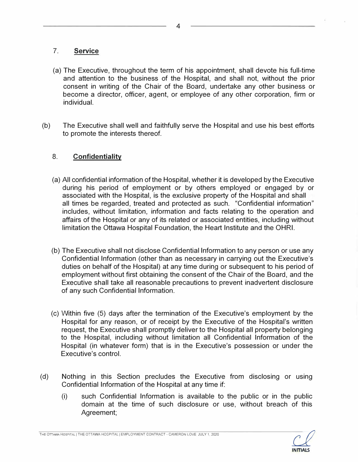## 7. **Service**

- (a) The Executive, throughout the term of his appointment, shall devote his full-time and attention to the business of the Hospital, and shall not, without the prior consent in writing of the Chair of the Board, undertake any other business or become a director, officer, agent, or employee of any other corporation, firm or individual.
- (b) The Executive shall well and faithfully serve the Hospital and use his best efforts to promote the interests thereof.

## 8. **Confidentiality**

- (a) All confidential information of the Hospital, whether it is developed by the Executive during his period of employment or by others employed or engaged by or associated with the Hospital, is the exclusive property of the Hospital and shall all times be regarded, treated and protected as such. "Confidential information" includes, without limitation, information and facts relating to the operation and affairs of the Hospital or any of its related or associated entities, including without limitation the Ottawa Hospital Foundation, the Heart Institute and the OHRI.
- (b) The Executive shall not disclose Confidential Information to any person or use any Confidential Information (other than as necessary in carrying out the Executive's duties on behalf of the Hospital) at any time during or subsequent to his period of employment without first obtaining the consent of the Chair of the Board, and the Executive shall take all reasonable precautions to prevent inadvertent disclosure of any such Confidential Information.
- (c) Within five (5) days after the termination of the Executive's employment by the Hospital for any reason, or of receipt by the Executive of the Hospital's written request, the Executive shall promptly deliver to the Hospital all property belonging to the Hospital, including without limitation all Confidential Information of the Hospital (in whatever form) that is in the Executive's possession or under the Executive's control.
- (d) Nothing in this Section precludes the Executive from disclosing or using Confidential Information of the Hospital at any time if:
	- (i) such Confidential Information is available to the public or in the public domain at the time of such disclosure or use, without breach of this Agreement;

THE OTTAWA HOSPITAL | THE OTTAWA HOSPITAL | EMPLOYMENT CONTRACT - CAMERON LOVE JULY 1. 2020

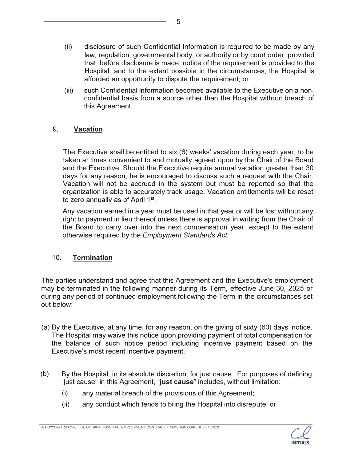- (ii) disclosure of such Confidential Information is required to be made by any law, regulation, governmental body, or authority or by court order, provided that, before disclosure is made, notice of the requirement is provided to the Hospital, and to the extent possible in the circumstances, the Hospital is afforded an opportunity to dispute the requirement; or
- (iii) such Confidential Information becomes available to the Executive on a nonconfidential basis from a source other than the Hospital without breach of this Agreement.

## 9. **Vacation**

The Executive shall be entitled to six (6) weeks' vacation during each year, to be taken at times convenient to and mutually agreed upon by the Chair of the Board and the Executive. Should the Executive require annual vacation greater than 30 days for any reason, he is encouraged to discuss such a request with the Chair. Vacation will not be accrued in the system but must be reported so that the organization is able to accurately track usage. Vacation entitlements will be reset to zero annually as of April 1<sup>st</sup>.

Any vacation earned in a year must be used in that year or will be lost without any right to payment in lieu thereof unless there is approval in writing from the Chair of the Board to carry over into the next compensation year, except to the extent otherwise required by the *Employment Standards Act.* 

## 10. **Termination**

The parties understand and agree that this Agreement and the Executive's employment may be terminated in the following manner during its Term, effective June 30, 2025 or during any period of continued employment following the Term in the circumstances set out below:

- (a) By the Executive, at any time, for any reason, on the giving of sixty (60) days' notice. The Hospital may waive this notice upon providing payment of total compensation for the balance of such notice period including incentive payment based on the Executive's most recent incentive payment.
- (b) By the Hospital, in its absolute discretion, for just cause. For purposes of defining "just cause" in this Agreement, **"just cause"** includes, without limitation:
	- (i) any material breach of the provisions of this Agreement;
	- (ii) any conduct which tends to bring the Hospital into disrepute; or

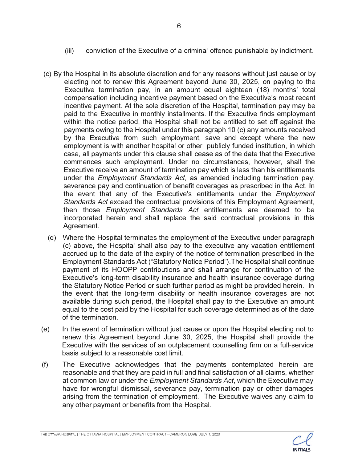- (iii) conviction of the Executive of a criminal offence punishable by indictment.
- (c) By the Hospital in its absolute discretion and for any reasons without just cause or by electing not to renew this Agreement beyond June 30, 2025, on paying to the Executive termination pay, in an amount equal eighteen (18) months' total compensation including incentive payment based on the Executive's most recent incentive payment. At the sole discretion of the Hospital, termination pay may be paid to the Executive in monthly installments. If the Executive finds employment within the notice period, the Hospital shall not be entitled to set off against the payments owing to the Hospital under this paragraph 10 (c) any amounts received by the Executive from such employment, save and except where the new employment is with another hospital or other publicly funded institution, in which case, all payments under this clause shall cease as of the date that the Executive commences such employment. Under no circumstances, however, shall the Executive receive an amount of termination pay which is less than his entitlements under the *Employment Standards Act,* as amended including termination pay, severance pay and continuation of benefit coverages as prescribed in the Act. In the event that any of the Executive's entitlements under the *Employment Standards Act* exceed the contractual provisions of this Employment Agreement, then those *Employment Standards Act* entitlements are deemed to be incorporated herein and shall replace the said contractual provisions in this Agreement.
- (d) Where the Hospital terminates the employment of the Executive under paragraph (c) above, the Hospital shall also pay to the executive any vacation entitlement accrued up to the date of the expiry of the notice of termination prescribed in the Employment Standards Act ("Statutory Notice Period").The Hospital shall continue payment of its HOOPP contributions and shall arrange for continuation of the Executive's long-term disability insurance and health insurance coverage during the Statutory Notice Period or such further period as might be provided herein. In the event that the long-term disability or health insurance coverages are not available during such period, the Hospital shall pay to the Executive an amount equal to the cost paid by the Hospital for such coverage determined as of the date of the termination.
- (e) In the event of termination without just cause or upon the Hospital electing not to renew this Agreement beyond June 30, 2025, the Hospital shall provide the Executive with the services of an outplacement counselling firm on a full-service basis subject to a reasonable cost limit.
- (f) The Executive acknowledges that the payments contemplated herein are reasonable and that they are paid in full and final satisfaction of all claims, whether at common law or under the *Employment Standards Act,* which the Executive may have for wrongful dismissal, severance pay, termination pay or other damages arising from the termination of employment. The Executive waives any claim to any other payment or benefits from the Hospital.

THE OTTAWA HOSPITAL I THE OTTAWA HOSPITAL I EMPLOYMENT CONTRACT - CAMERON LOVE JULY 1, 2020

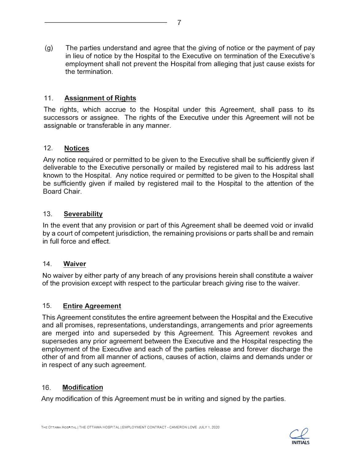(g) The parties understand and agree that the giving of notice or the payment of pay in lieu of notice by the Hospital to the Executive on termination of the Executive's employment shall not prevent the Hospital from alleging that just cause exists for the termination.

### 11. **Assignment of Rights**

The rights, which accrue to the Hospital under this Agreement, shall pass to its successors or assignee. The rights of the Executive under this Agreement will not be assignable or transferable in any manner.

#### 12. **Notices**

Any notice required or permitted to be given to the Executive shall be sufficiently given if deliverable to the Executive personally or mailed by registered mail to his address last known to the Hospital. Any notice required or permitted to be given to the Hospital shall be sufficiently given if mailed by registered mail to the Hospital to the attention of the Board Chair.

### 13. **Severability**

In the event that any provision or part of this Agreement shall be deemed void or invalid by a court of competent jurisdiction, the remaining provisions or parts shall be and remain in full force and effect.

#### **14. Waiver**

No waiver by either party of any breach of any provisions herein shall constitute a waiver of the provision except with respect to the particular breach giving rise to the waiver.

#### 15. **Entire Agreement**

This Agreement constitutes the entire agreement between the Hospital and the Executive and all promises, representations, understandings, arrangements and prior agreements are merged into and superseded by this Agreement. This Agreement revokes and supersedes any prior agreement between the Executive and the Hospital respecting the employment of the Executive and each of the parties release and forever discharge the other of and from all manner of actions, causes of action, claims and demands under or in respect of any such agreement.

#### 16. **Modification**

Any modification of this Agreement must be in writing and signed by the parties.

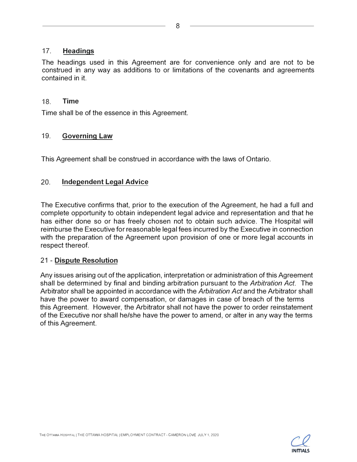#### 17. **Headings**

The headings used in this Agreement are for convenience only and are not to be construed in any way as additions to or limitations of the covenants and agreements contained in it.

#### 18. **Time**

Time shall be of the essence in this Agreement.

#### 19. **Governing Law**

This Agreement shall be construed in accordance with the laws of Ontario.

#### 20. **Independent Legal Advice**

The Executive confirms that, prior to the execution of the Agreement, he had a full and complete opportunity to obtain independent legal advice and representation and that he has either done so or has freely chosen not to obtain such advice. The Hospital will reimburse the Executive for reasonable legal fees incurred by the Executive in connection with the preparation of the Agreement upon provision of one or more legal accounts in respect thereof.

#### **21 - Dispute Resolution**

Any issues arising out of the application, interpretation or administration of this Agreement shall be determined by final and binding arbitration pursuant to the *Arbitration Act.* The Arbitrator shall be appointed in accordance with the *Arbitration Act* and the Arbitrator shall have the power to award compensation, or damages in case of breach of the terms this Agreement. However, the Arbitrator shall not have the power to order reinstatement of the Executive nor shall he/she have the power to amend, or alter in any way the terms of this Agreement.

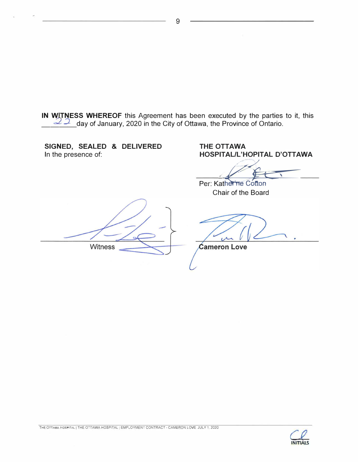**IN WITNESS WHEREOF** this Agreement has been executed by the parties to it, this  $\leq$   $\leq$  day of January, 2020 in the City of Ottawa, the Province of Ontario.

**SIGNED, SEALED & DELIVERED THE OTTAWA<br>In the presence of: The SPITAL/L'H** 

**HOSPITAL/L'HOPITAL D'OTTAWA** 

Per: Katherine Cotton Chair of the Board

**Witness** 

**Cameron Love** 



9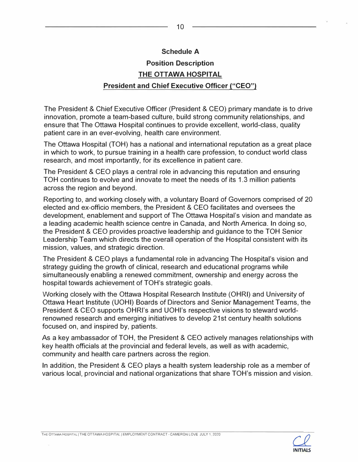#### **Schedule A**

## **Position Description THE OTTAWA HOSPITAL President and Chief Executive Officer ("CEO")**

The President & Chief Executive Officer (President & CEO) primary mandate is to drive innovation, promote a team-based culture, build strong community relationships, and ensure that The Ottawa Hospital continues to provide excellent, world-class, quality patient care in an ever-evolving, health care environment.

The Ottawa Hospital (TOH) has a national and international reputation as a great place in which to work, to pursue training in a health care profession, to conduct world class research, and most importantly, for its excellence in patient care.

The President & CEO plays a central role in advancing this reputation and ensuring TOH continues to evolve and innovate to meet the needs of its 1.3 million patients across the region and beyond.

Reporting to, and working closely with, a voluntary Board of Governors comprised of 20 elected and ex-officio members, the President & CEO facilitates and oversees the development, enablement and support of The Ottawa Hospital's vision and mandate as a leading academic health science centre in Canada, and North America. In doing so, the President & CEO provides proactive leadership and guidance to the TOH Senior Leadership Team which directs the overall operation of the Hospital consistent with its mission, values, and strategic direction.

The President & CEO plays a fundamental role in advancing The Hospital's vision and strategy guiding the growth of clinical, research and educational programs while simultaneously enabling a renewed commitment, ownership and energy across the hospital towards achievement of TOH's strategic goals.

Working closely with the Ottawa Hospital Research Institute (OHRI) and University of Ottawa Heart Institute (UOHI) Boards of Directors and Senior Management Teams, the President & CEO supports OHRl's and UOHl's respective visions to steward worldrenowned research and emerging initiatives to develop 21st century health solutions focused on, and inspired by, patients.

As a key ambassador of TOH, the President & CEO actively manages relationships with key health officials at the provincial and federal levels, as well as with academic, community and health care partners across the region.

In addition, the President & CEO plays a health system leadership role as a member of various local, provincial and national organizations that share TOH's mission and vision.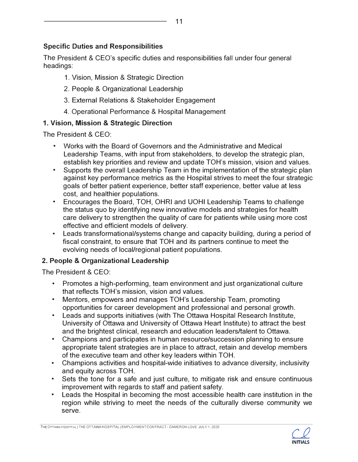## **Specific Duties and Responsibilities**

The President & CEO's specific duties and responsibilities fall under four general headings:

- 1. Vision, Mission & Strategic Direction
- 2. People & Organizational Leadership
- 3. External Relations & Stakeholder Engagement
- 4. Operational Performance & Hospital Management

## **1. Vision, Mission & Strategic Direction**

The President & CEO:

- Works with the Board of Governors and the Administrative and Medical Leadership Teams, with input from stakeholders, to develop the strategic plan, establish key priorities and review and update TOH's mission, vision and values.
- Supports the overall Leadership Team in the implementation of the strategic plan against key performance metrics as the Hospital strives to meet the four strategic goals of better patient experience, better staff experience, better value at less cost, and healthier populations. • Encourages the Board, TOH, OHRI and UOHI Leadership Teams to challenge
- the status quo by identifying new innovative models and strategies for health care delivery to strengthen the quality of care for patients while using more cost
- effective and efficient models of delivery. Leads transformational/systems change and capacity building, during a period of fiscal constraint, to ensure that TOH and its partners continue to meet the evolving needs of local/regional patient populations.

## **2. People & Organizational Leadership**

The President & CEO:

- Promotes a high-performing, team environment and just organizational culture that reflects TOH's mission, vision and values. • Mentors, empowers and manages TOH's Leadership Team, promoting
- 
- opportunities for career development and professional and personal growth. Leads and supports initiatives (with The Ottawa Hospital Research Institute, University of Ottawa and University of Ottawa Heart Institute) to attract the best and the brightest clinical, research and education leaders/talent to Ottawa.<br>Champions and participates in human resource/succession planning to ensure
- appropriate talent strategies are in place to attract, retain and develop members of the executive team and other key leaders within TOH. • Champions activities and hospital-wide initiatives to advance diversity, inclusivity
- 
- and equity across TOH.<br>• Sets the tone for a safe and just culture, to mitigate risk and ensure continuous improvement with regards to staff and patient safety. • Leads the Hospital in becoming the most accessible health care institution in the
- region while striving to meet the needs of the culturally diverse community we serve.

THE OTTAWA HOSPITAL | THE OTTAWA HOSPITAL | EMPLOYMENT CONTRACT - CAMERON LOVE JULY 1, 2020

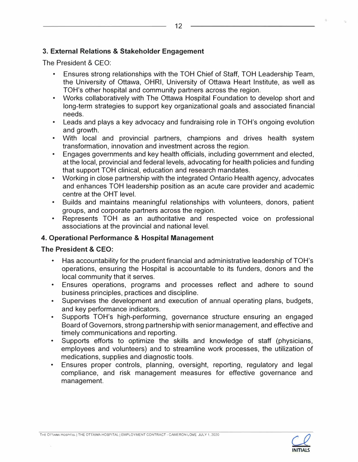### **3. External Relations & Stakeholder Engagement**

The President & CEO:

- Ensures strong relationships with the TOH Chief of Staff, TOH Leadership Team, the University of Ottawa, OHRI, University of Ottawa Heart Institute, as well as TOH's other hospital and community partners across the region.
- Works collaboratively with The Ottawa Hospital Foundation to develop short and long-term strategies to support key organizational goals and associated financial
- Leads and plays a key advocacy and fundraising role in TOH's ongoing evolution
- and growth.<br>• With local and provincial partners, champions and drives health system<br>transformation, innovation and investment across the region.
- Engages governments and key health officials, including government and elected, at the local, provincial and federal levels, advocating for health policies and funding
- Working in close partnership with the integrated Ontario Health agency, advocates and enhances TOH leadership position as an acute care provider and academic<br>centre at the OHT level
- Builds and maintains meaningful relationships with volunteers, donors, patient groups, and corporate partners across the region.
- Represents TOH as an authoritative and respected voice on professional associations at the provincial and national level.

#### **4. Operational Performance & Hospital Management**

#### **The President & CEO:**

- Has accountability for the prudent financial and administrative leadership of TOH's operations, ensuring the Hospital is accountable to its funders, donors and the
- local community that it serves.<br>• Ensures operations, programs and processes reflect and adhere to sound<br>business principles, practices and discipline.
- Supervises the development and execution of annual operating plans, budgets, and kev performance indicators.
- Supports TOH's high-performing, governance structure ensuring an engaged Board of Governors, strong partnership with senior management, and effective and timely communications and reporting. • Supports efforts to optimize the skills and knowledge of staff (physicians,
- employees and volunteers) and to streamline work processes, the utilization of medications, supplies and diagnostic tools.<br>
• Ensures proper controls, planning, oversight, reporting, regulatory and legal
- compliance, and risk management measures for effective governance and management.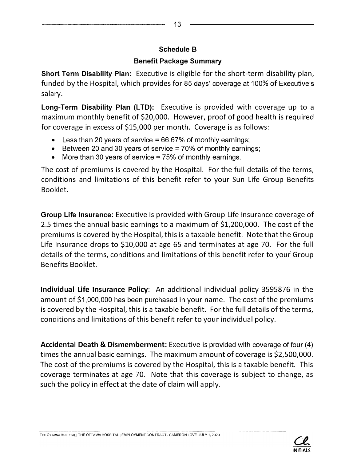## **Schedule B**

## **Benefit Package Summary**

**Short Term Disability Plan:** Executive is eligible for the short-term disability plan, funded by the Hospital, which provides for 85 days' coverage at 100% of Executive's salary.

**Long-Term Disability Plan (LTD):** Executive is provided with coverage up to a maximum monthly benefit of \$20,000. However, proof of good health is required for coverage in excess of \$15,000 per month. Coverage is as follows:

- Less than 20 years of service **=** 66.67% of monthly earnings;
- Between 20 and 30 years of service **=** 70% of monthly earnings;
- More than 30 years of service **=** 75% of monthly earnings.

The cost of premiums is covered by the Hospital. For the full details of the terms, conditions and limitations of this benefit refer to your Sun Life Group Benefits Booklet.

**Group Life Insurance:** Executive is provided with Group Life Insurance coverage of 2.5 times the annual basic earnings to a maximum of \$1,200,000. The cost of the premiums is covered by the Hospital, this is a taxable benefit. Note that the Group Life Insurance drops to \$10,000 at age 65 and terminates at age 70. For the full details of the terms, conditions and limitations of this benefit refer to your Group Benefits Booklet.

**Individual Life Insurance Policy:** An additional individual policy 3595876 in the amount of \$1,000,000 has been purchased in your name. The cost of the premiums is covered by the Hospital, this is a taxable benefit. For the full details of the terms, conditions and limitations of this benefit refer to your individual policy.

**Accidental Death** & **Dismemberment:** Executive is provided with coverage of four (4) times the annual basic earnings. The maximum amount of coverage is \$2,500,000. The cost of the premiums is covered by the Hospital, this is a taxable benefit. This coverage terminates at age 70. Note that this coverage is subject to change, as such the policy in effect at the date of claim will apply.

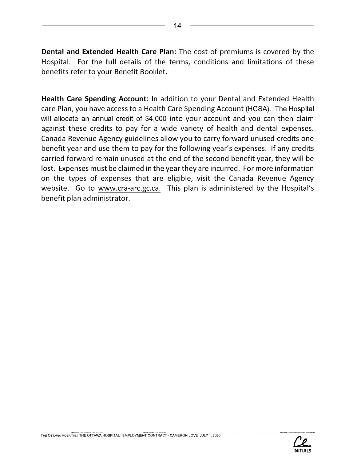**Dental and Extended Health Care Plan:** The cost of premiums is covered by the Hospital. For the full details of the terms, conditions and limitations of these benefits refer to your Benefit Booklet.

**Health Care Spending Account:** In addition to your Dental and Extended Health care Plan, you have access to a Health Care Spending Account (HCSA). The Hospital will allocate an annual credit of \$4,000 into your account and you can then claim against these credits to pay for a wide variety of health and dental expenses. Canada Revenue Agency guidelines allow you to carry forward unused credits one benefit year and use them to pay for the following year's expenses. If any credits carried forward remain unused at the end of the second benefit year, they will be lost. Expenses must be claimed in the year they are incurred. For more information on the types of expenses that are eligible, visit the Canada Revenue Agency website. Go to [www.cra-arc.gc.ca.](www.cra-arc.gc.ca) This plan is administered by the Hospital's benefit plan administrator.



14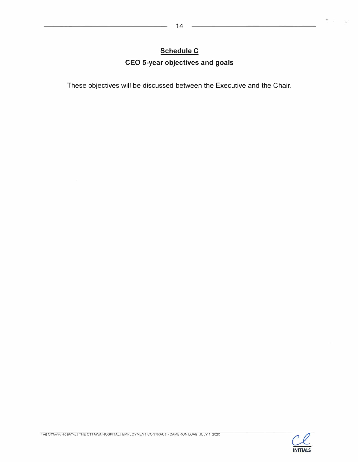## **Schedule C CEO 5-year objectives and goals**

**These objectives will be discussed between the Executive and the Chair.** 

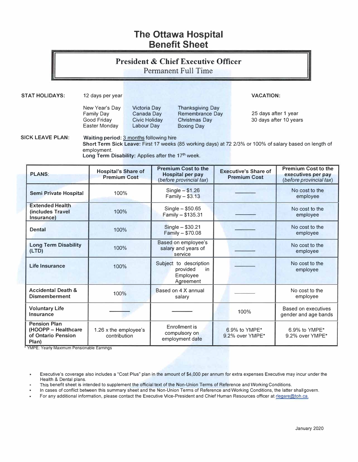## **The Ottawa Hospital Benefit Sheet**

# **President & Chief Executive Officer**

Permanent Full Time

**STAT HOLIDAYS:** 12 days per year **VACATION: VACATION:** 

New Year's Day Victoria Day Thanksgiving Day Easter Monday

Family Day Canada Day Remembrance Day 25 days after 1 year<br>
Good Friday Civic Holiday Christmas Day 30 days after 10 yea Civic Holiday Christmas Day 30 days after 10 years<br>
Labour Day Boxing Day

**SICK LEAVE PLAN:** Waiting period: 3 months following hire **Short Term Sick Leave:** First 17 weeks (85 working days) at 72 2/3% or 100% of salary based on length of employment.

Long Term Disability: Applies after the 17<sup>th</sup> week.

| <b>PLANS</b>                                                              | <b>Hospital's Share of</b><br><b>Premium Cost</b> | <b>Premium Cost to the</b><br>Hospital per pay<br>(before provincial tax) | <b>Executive's Share of</b><br><b>Premium Cost</b> | Premium Cost to the<br>executives per pay<br>(before provincial tax) |
|---------------------------------------------------------------------------|---------------------------------------------------|---------------------------------------------------------------------------|----------------------------------------------------|----------------------------------------------------------------------|
| Semi Private Hospital                                                     | 100%                                              | $Single - $1.26$<br>Family $-$ \$3.13                                     |                                                    | No cost to the<br>employee                                           |
| <b>Extended Health</b><br>(includes Travel<br>Insurance)                  | 100%                                              | Single $-$ \$50.65<br>Family - \$135.31                                   |                                                    | No cost to the<br>employee                                           |
| <b>Dental</b>                                                             | 100%                                              | Single - \$30.21<br>Family - \$70.08                                      |                                                    | No cost to the<br>employee                                           |
| <b>Long Term Disability</b><br>(LTD)                                      | 100%                                              | Based on employee's<br>salary and years of<br>service                     |                                                    | No cost to the<br>employee                                           |
| Life Insurance                                                            | 100%                                              | Subject to description<br>provided<br>in<br>Employee<br>Agreement         |                                                    | No cost to the<br>employee                                           |
| <b>Accidental Death &amp;</b><br><b>Dismemberment</b>                     | 100%                                              | Based on 4 X annual<br>salary                                             |                                                    | No cost to the<br>employee                                           |
| <b>Voluntary Life</b><br>Insurance                                        |                                                   |                                                                           | 100%                                               | Based on executives<br>gender and age bands                          |
| <b>Pension Plan</b><br>(HOOPP - Healthcare<br>of Ontario Pension<br>Plan) | 1.26 x the employee's<br>contribution             | Enrollment is<br>compulsory on<br>employment date                         | 6.9% to YMPF*<br>9.2% over YMPE*                   | 6.9% to YMPF*<br>9.2% over YMPE*                                     |

• YMPE: Yearly Maximum Pensionable Earnings

Executive's coverage also includes a "Cost Plus" plan in the amount of \$4,000 per annum for extra expenses Executive may incur under the Health & Dental plans.

This benefit sheet is intended to supplement the official text of the Non-Union Terms of Reference and Working Conditions.

In cases of conflict between this summary sheet and the Non-Union Terms of Reference and Working Conditions, the latter shall govern.

For any additional information, please contact the Executive Vice-President and Chief Human Resources officer at [rlegare@toh.ca](mailto:rlegare@toh.ca).